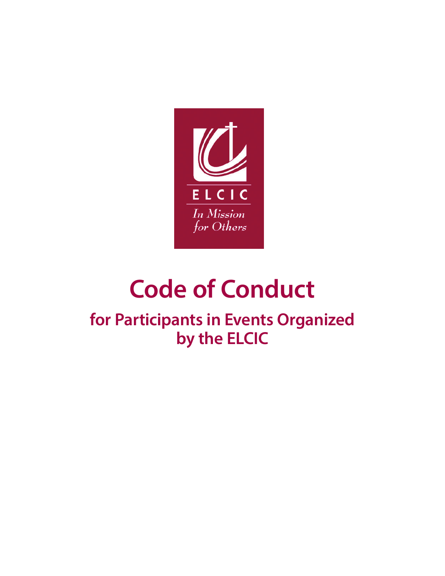

# **Code of Conduct**

**for Participants in Events Organized by the ELCIC**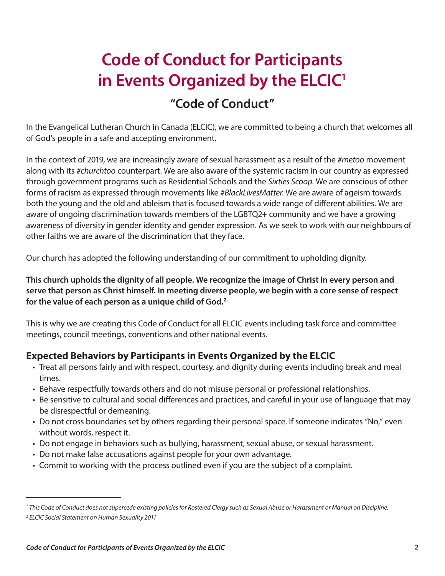# **Code of Conduct for Participants in Events Organized by the ELCIC1**

# **"Code of Conduct"**

In the Evangelical Lutheran Church in Canada (ELCIC), we are committed to being a church that welcomes all of God's people in a safe and accepting environment.

In the context of 2019, we are increasingly aware of sexual harassment as a result of the *#metoo* movement along with its *#churchtoo* counterpart. We are also aware of the systemic racism in our country as expressed through government programs such as Residential Schools and the *Sixties Scoop*. We are conscious of other forms of racism as expressed through movements like *#BlackLivesMatter*. We are aware of ageism towards both the young and the old and ableism that is focused towards a wide range of different abilities. We are aware of ongoing discrimination towards members of the LGBTQ2+ community and we have a growing awareness of diversity in gender identity and gender expression. As we seek to work with our neighbours of other faiths we are aware of the discrimination that they face.

Our church has adopted the following understanding of our commitment to upholding dignity.

**This church upholds the dignity of all people. We recognize the image of Christ in every person and serve that person as Christ himself. In meeting diverse people, we begin with a core sense of respect for the value of each person as a unique child of God.<sup>2</sup>**

This is why we are creating this Code of Conduct for all ELCIC events including task force and committee meetings, council meetings, conventions and other national events.

# **Expected Behaviors by Participants in Events Organized by the ELCIC**

- Treat all persons fairly and with respect, courtesy, and dignity during events including break and meal times.
- Behave respectfully towards others and do not misuse personal or professional relationships.
- Be sensitive to cultural and social differences and practices, and careful in your use of language that may be disrespectful or demeaning.
- Do not cross boundaries set by others regarding their personal space. If someone indicates "No," even without words, respect it.
- Do not engage in behaviors such as bullying, harassment, sexual abuse, or sexual harassment.
- Do not make false accusations against people for your own advantage.
- Commit to working with the process outlined even if you are the subject of a complaint.

*<sup>1</sup> This Code of Conduct does not supercede existing policies for Rostered Clergy such as Sexual Abuse or Harassment or Manual on Discipline. 2 ELCIC Social Statement on Human Sexuality 2011*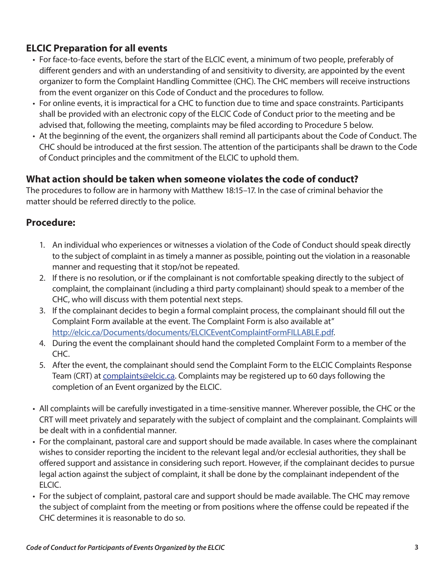# **ELCIC Preparation for all events**

- For face-to-face events, before the start of the ELCIC event, a minimum of two people, preferably of different genders and with an understanding of and sensitivity to diversity, are appointed by the event organizer to form the Complaint Handling Committee (CHC). The CHC members will receive instructions from the event organizer on this Code of Conduct and the procedures to follow.
- For online events, it is impractical for a CHC to function due to time and space constraints. Participants shall be provided with an electronic copy of the ELCIC Code of Conduct prior to the meeting and be advised that, following the meeting, complaints may be filed according to Procedure 5 below.
- At the beginning of the event, the organizers shall remind all participants about the Code of Conduct. The CHC should be introduced at the first session. The attention of the participants shall be drawn to the Code of Conduct principles and the commitment of the ELCIC to uphold them.

# **What action should be taken when someone violates the code of conduct?**

The procedures to follow are in harmony with Matthew 18:15–17. In the case of criminal behavior the matter should be referred directly to the police.

# **Procedure:**

- 1. An individual who experiences or witnesses a violation of the Code of Conduct should speak directly to the subject of complaint in as timely a manner as possible, pointing out the violation in a reasonable manner and requesting that it stop/not be repeated.
- 2. If there is no resolution, or if the complainant is not comfortable speaking directly to the subject of complaint, the complainant (including a third party complainant) should speak to a member of the CHC, who will discuss with them potential next steps.
- 3. If the complainant decides to begin a formal complaint process, the complainant should fill out the Complaint Form available at the event. The Complaint Form is also available at" http://elcic.ca/Documents/documents/ELCICEventComplaintFormFILLABLE.pdf.
- 4. During the event the complainant should hand the completed Complaint Form to a member of the CHC.
- 5. After the event, the complainant should send the Complaint Form to the ELCIC Complaints Response Team (CRT) at complaints@elcic.ca. Complaints may be registered up to 60 days following the completion of an Event organized by the ELCIC.
- All complaints will be carefully investigated in a time-sensitive manner. Wherever possible, the CHC or the CRT will meet privately and separately with the subject of complaint and the complainant. Complaints will be dealt with in a confidential manner.
- For the complainant, pastoral care and support should be made available. In cases where the complainant wishes to consider reporting the incident to the relevant legal and/or ecclesial authorities, they shall be offered support and assistance in considering such report. However, if the complainant decides to pursue legal action against the subject of complaint, it shall be done by the complainant independent of the ELCIC.
- For the subject of complaint, pastoral care and support should be made available. The CHC may remove the subject of complaint from the meeting or from positions where the offense could be repeated if the CHC determines it is reasonable to do so.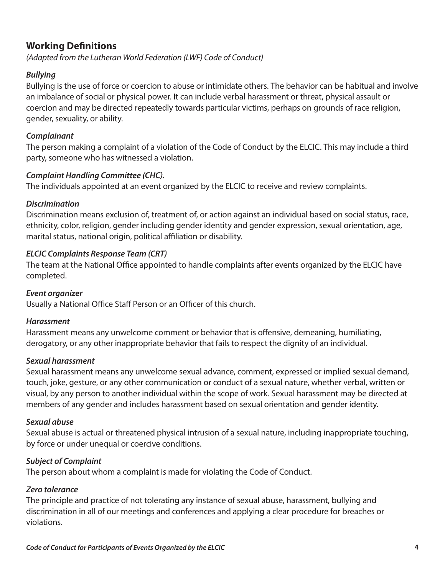### **Working Definitions**

*(Adapted from the Lutheran World Federation (LWF) Code of Conduct)*

#### *Bullying*

Bullying is the use of force or coercion to abuse or intimidate others. The behavior can be habitual and involve an imbalance of social or physical power. It can include verbal harassment or threat, physical assault or coercion and may be directed repeatedly towards particular victims, perhaps on grounds of race religion, gender, sexuality, or ability.

#### *Complainant*

The person making a complaint of a violation of the Code of Conduct by the ELCIC. This may include a third party, someone who has witnessed a violation.

#### *Complaint Handling Committee (CHC).*

The individuals appointed at an event organized by the ELCIC to receive and review complaints.

#### *Discrimination*

Discrimination means exclusion of, treatment of, or action against an individual based on social status, race, ethnicity, color, religion, gender including gender identity and gender expression, sexual orientation, age, marital status, national origin, political affiliation or disability.

#### *ELCIC Complaints Response Team (CRT)*

The team at the National Office appointed to handle complaints after events organized by the ELCIC have completed.

#### *Event organizer*

Usually a National Office Staff Person or an Officer of this church.

#### *Harassment*

Harassment means any unwelcome comment or behavior that is offensive, demeaning, humiliating, derogatory, or any other inappropriate behavior that fails to respect the dignity of an individual.

#### *Sexual harassment*

Sexual harassment means any unwelcome sexual advance, comment, expressed or implied sexual demand, touch, joke, gesture, or any other communication or conduct of a sexual nature, whether verbal, written or visual, by any person to another individual within the scope of work. Sexual harassment may be directed at members of any gender and includes harassment based on sexual orientation and gender identity.

#### *Sexual abuse*

Sexual abuse is actual or threatened physical intrusion of a sexual nature, including inappropriate touching, by force or under unequal or coercive conditions.

#### *Subject of Complaint*

The person about whom a complaint is made for violating the Code of Conduct.

#### *Zero tolerance*

The principle and practice of not tolerating any instance of sexual abuse, harassment, bullying and discrimination in all of our meetings and conferences and applying a clear procedure for breaches or violations.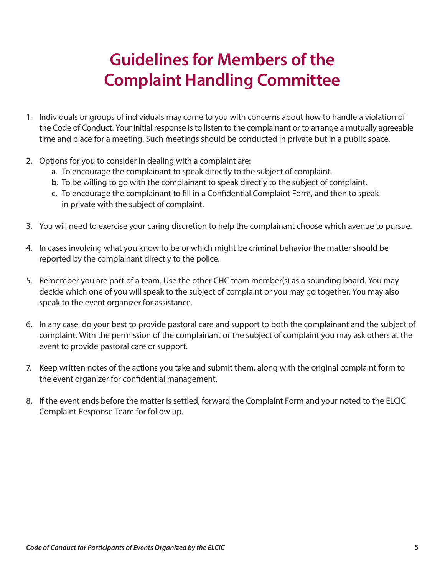# **Guidelines for Members of the Complaint Handling Committee**

- 1. Individuals or groups of individuals may come to you with concerns about how to handle a violation of the Code of Conduct. Your initial response is to listen to the complainant or to arrange a mutually agreeable time and place for a meeting. Such meetings should be conducted in private but in a public space.
- 2. Options for you to consider in dealing with a complaint are:
	- a. To encourage the complainant to speak directly to the subject of complaint.
	- b. To be willing to go with the complainant to speak directly to the subject of complaint.
	- c. To encourage the complainant to fill in a Confidential Complaint Form, and then to speak in private with the subject of complaint.
- 3. You will need to exercise your caring discretion to help the complainant choose which avenue to pursue.
- 4. In cases involving what you know to be or which might be criminal behavior the matter should be reported by the complainant directly to the police.
- 5. Remember you are part of a team. Use the other CHC team member(s) as a sounding board. You may decide which one of you will speak to the subject of complaint or you may go together. You may also speak to the event organizer for assistance.
- 6. In any case, do your best to provide pastoral care and support to both the complainant and the subject of complaint. With the permission of the complainant or the subject of complaint you may ask others at the event to provide pastoral care or support.
- 7. Keep written notes of the actions you take and submit them, along with the original complaint form to the event organizer for confidential management.
- 8. If the event ends before the matter is settled, forward the Complaint Form and your noted to the ELCIC Complaint Response Team for follow up.